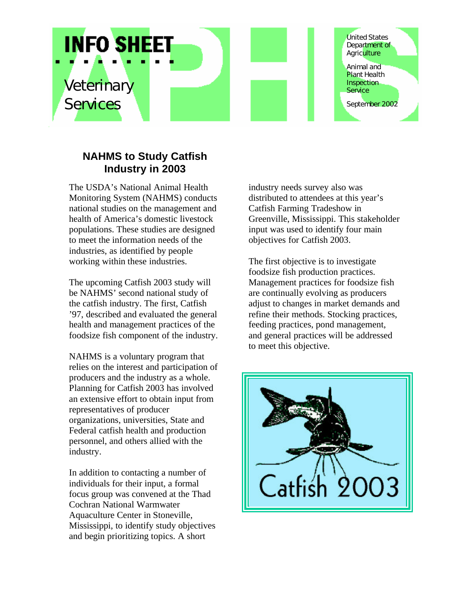

## **NAHMS to Study Catfish Industry in 2003**

The USDA's National Animal Health Monitoring System (NAHMS) conducts national studies on the management and health of America's domestic livestock populations. These studies are designed to meet the information needs of the industries, as identified by people working within these industries.

The upcoming Catfish 2003 study will be NAHMS' second national study of the catfish industry. The first, Catfish '97, described and evaluated the general health and management practices of the foodsize fish component of the industry.

NAHMS is a voluntary program that relies on the interest and participation of producers and the industry as a whole. Planning for Catfish 2003 has involved an extensive effort to obtain input from representatives of producer organizations, universities, State and Federal catfish health and production personnel, and others allied with the industry.

In addition to contacting a number of individuals for their input, a formal focus group was convened at the Thad Cochran National Warmwater Aquaculture Center in Stoneville, Mississippi, to identify study objectives and begin prioritizing topics. A short

industry needs survey also was distributed to attendees at this year's Catfish Farming Tradeshow in Greenville, Mississippi. This stakeholder input was used to identify four main objectives for Catfish 2003.

The first objective is to investigate foodsize fish production practices. Management practices for foodsize fish are continually evolving as producers adjust to changes in market demands and refine their methods. Stocking practices, feeding practices, pond management, and general practices will be addressed to meet this objective.